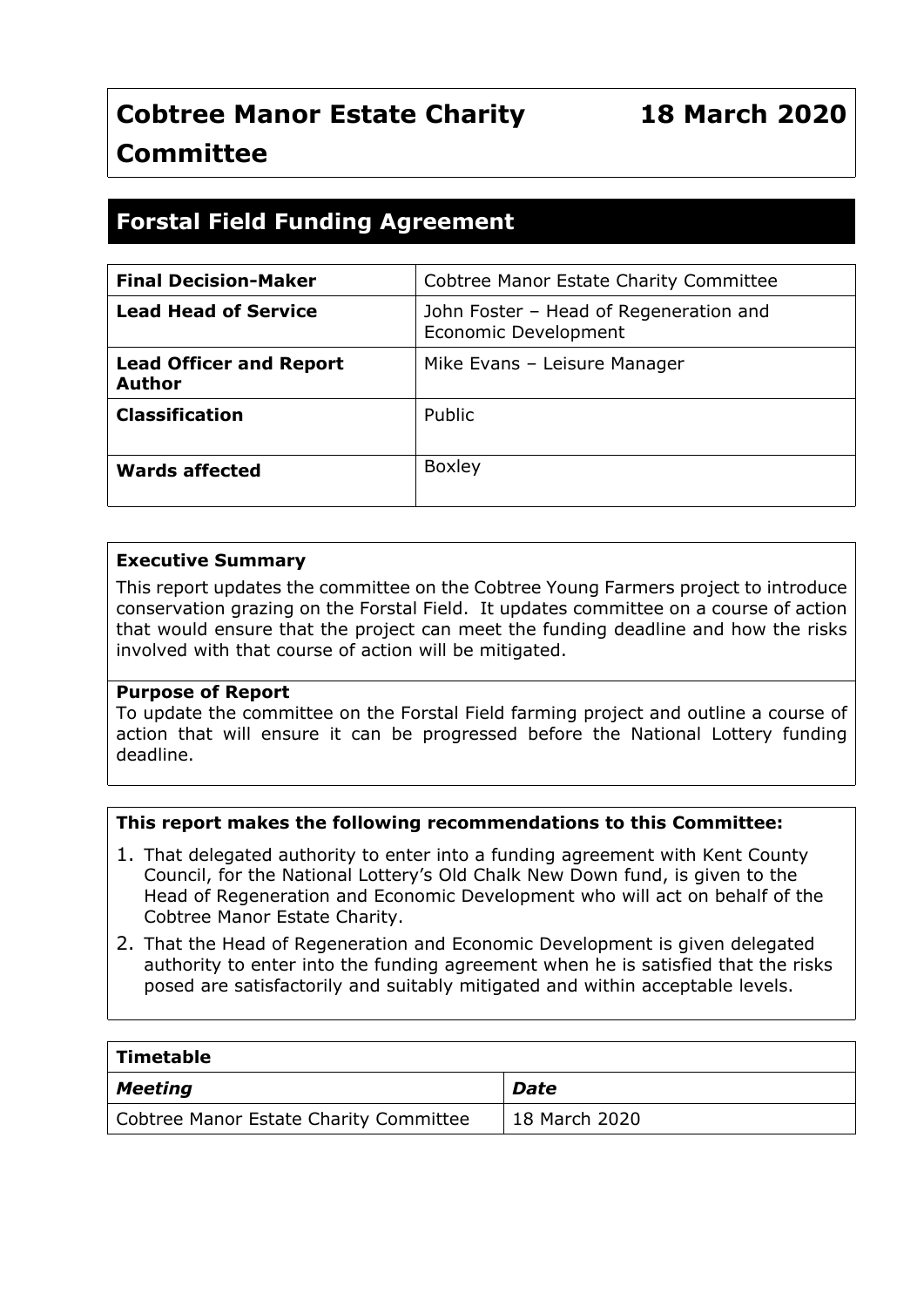# **Forstal Field Funding Agreement**

| <b>Final Decision-Maker</b>                     | Cobtree Manor Estate Charity Committee                         |
|-------------------------------------------------|----------------------------------------------------------------|
| <b>Lead Head of Service</b>                     | John Foster - Head of Regeneration and<br>Economic Development |
| <b>Lead Officer and Report</b><br><b>Author</b> | Mike Evans - Leisure Manager                                   |
| <b>Classification</b>                           | Public                                                         |
| <b>Wards affected</b>                           | <b>Boxley</b>                                                  |

#### **Executive Summary**

This report updates the committee on the Cobtree Young Farmers project to introduce conservation grazing on the Forstal Field. It updates committee on a course of action that would ensure that the project can meet the funding deadline and how the risks involved with that course of action will be mitigated.

#### **Purpose of Report**

To update the committee on the Forstal Field farming project and outline a course of action that will ensure it can be progressed before the National Lottery funding deadline.

## **This report makes the following recommendations to this Committee:**

- 1. That delegated authority to enter into a funding agreement with Kent County Council, for the National Lottery's Old Chalk New Down fund, is given to the Head of Regeneration and Economic Development who will act on behalf of the Cobtree Manor Estate Charity.
- 2. That the Head of Regeneration and Economic Development is given delegated authority to enter into the funding agreement when he is satisfied that the risks posed are satisfactorily and suitably mitigated and within acceptable levels.

| $\mid$ Timetable                       |               |
|----------------------------------------|---------------|
| $\vert$ Meeting                        | <b>Date</b>   |
| Cobtree Manor Estate Charity Committee | 18 March 2020 |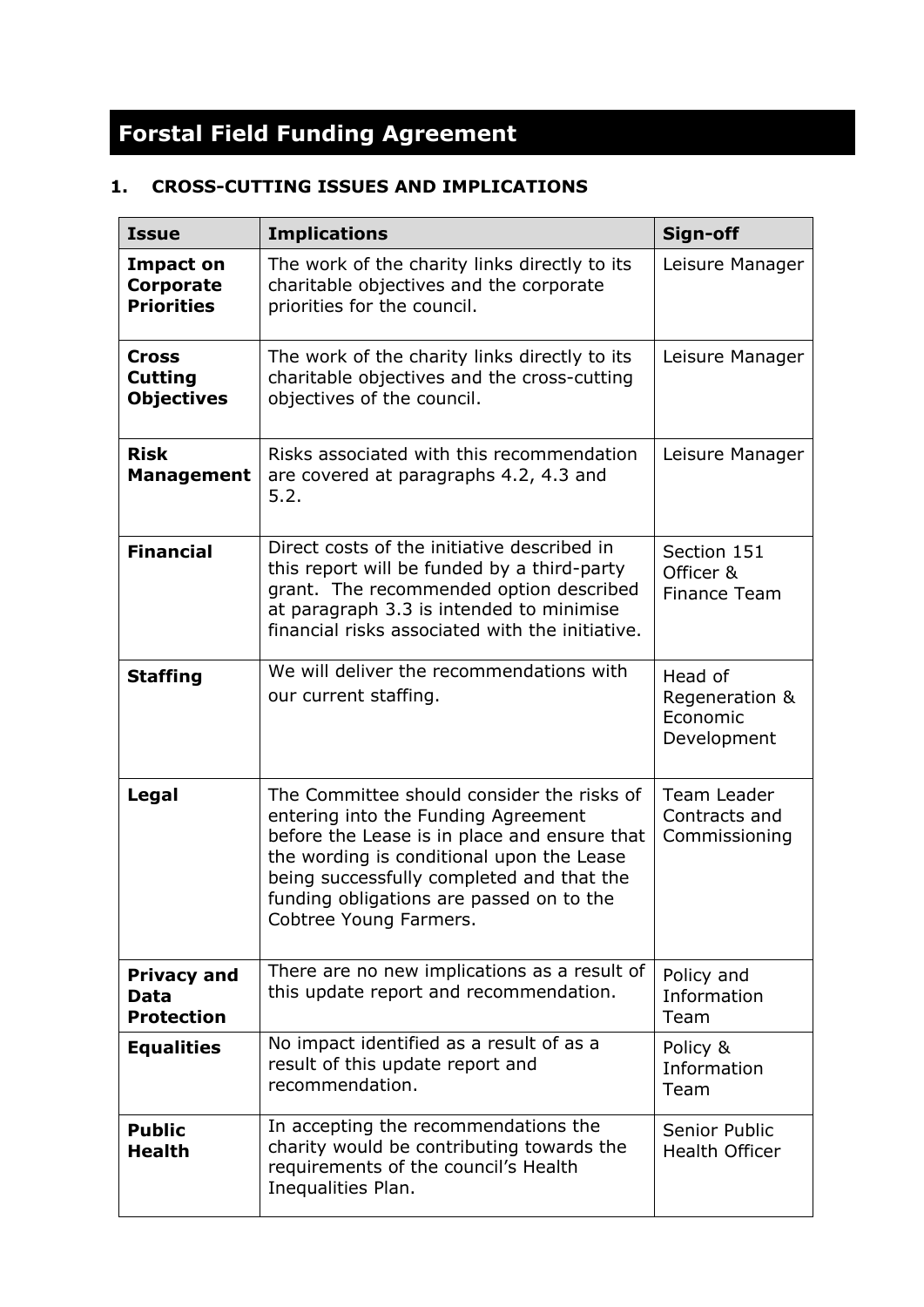# **Forstal Field Funding Agreement**

# **1. CROSS-CUTTING ISSUES AND IMPLICATIONS**

| <b>Issue</b>                                        | <b>Implications</b>                                                                                                                                                                                                                                                                               | Sign-off                                             |
|-----------------------------------------------------|---------------------------------------------------------------------------------------------------------------------------------------------------------------------------------------------------------------------------------------------------------------------------------------------------|------------------------------------------------------|
| <b>Impact on</b><br>Corporate<br><b>Priorities</b>  | The work of the charity links directly to its<br>charitable objectives and the corporate<br>priorities for the council.                                                                                                                                                                           | Leisure Manager                                      |
| <b>Cross</b><br><b>Cutting</b><br><b>Objectives</b> | The work of the charity links directly to its<br>charitable objectives and the cross-cutting<br>objectives of the council.                                                                                                                                                                        | Leisure Manager                                      |
| <b>Risk</b><br><b>Management</b>                    | Risks associated with this recommendation<br>are covered at paragraphs 4.2, 4.3 and<br>5.2.                                                                                                                                                                                                       | Leisure Manager                                      |
| <b>Financial</b>                                    | Direct costs of the initiative described in<br>this report will be funded by a third-party<br>grant. The recommended option described<br>at paragraph 3.3 is intended to minimise<br>financial risks associated with the initiative.                                                              | Section 151<br>Officer &<br><b>Finance Team</b>      |
| <b>Staffing</b>                                     | We will deliver the recommendations with<br>our current staffing.                                                                                                                                                                                                                                 | Head of<br>Regeneration &<br>Economic<br>Development |
| Legal                                               | The Committee should consider the risks of<br>entering into the Funding Agreement<br>before the Lease is in place and ensure that<br>the wording is conditional upon the Lease<br>being successfully completed and that the<br>funding obligations are passed on to the<br>Cobtree Young Farmers. | Team Leader<br>Contracts and<br>Commissioning        |
| <b>Privacy and</b><br>Data<br><b>Protection</b>     | There are no new implications as a result of<br>this update report and recommendation.                                                                                                                                                                                                            | Policy and<br>Information<br>Team                    |
| <b>Equalities</b>                                   | No impact identified as a result of as a<br>result of this update report and<br>recommendation.                                                                                                                                                                                                   | Policy &<br>Information<br>Team                      |
| <b>Public</b><br><b>Health</b>                      | In accepting the recommendations the<br>charity would be contributing towards the<br>requirements of the council's Health<br>Inequalities Plan.                                                                                                                                                   | Senior Public<br>Health Officer                      |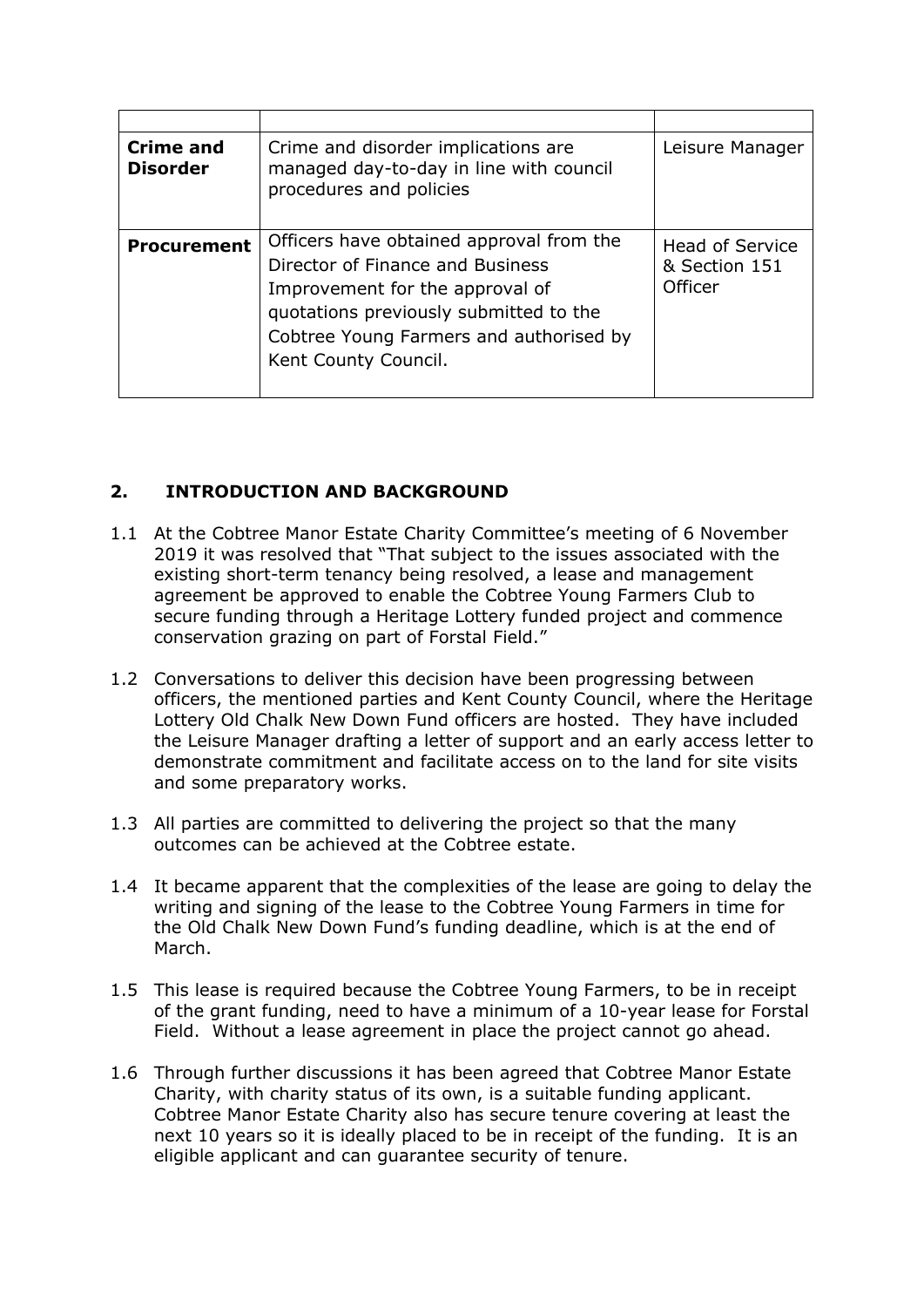| <b>Crime and</b><br><b>Disorder</b> | Crime and disorder implications are<br>managed day-to-day in line with council<br>procedures and policies                                                                                                                    | Leisure Manager                                    |
|-------------------------------------|------------------------------------------------------------------------------------------------------------------------------------------------------------------------------------------------------------------------------|----------------------------------------------------|
| <b>Procurement</b>                  | Officers have obtained approval from the<br>Director of Finance and Business<br>Improvement for the approval of<br>quotations previously submitted to the<br>Cobtree Young Farmers and authorised by<br>Kent County Council. | <b>Head of Service</b><br>& Section 151<br>Officer |

# **2. INTRODUCTION AND BACKGROUND**

- 1.1 At the Cobtree Manor Estate Charity Committee's meeting of 6 November 2019 it was resolved that "That subject to the issues associated with the existing short-term tenancy being resolved, a lease and management agreement be approved to enable the Cobtree Young Farmers Club to secure funding through a Heritage Lottery funded project and commence conservation grazing on part of Forstal Field."
- 1.2 Conversations to deliver this decision have been progressing between officers, the mentioned parties and Kent County Council, where the Heritage Lottery Old Chalk New Down Fund officers are hosted. They have included the Leisure Manager drafting a letter of support and an early access letter to demonstrate commitment and facilitate access on to the land for site visits and some preparatory works.
- 1.3 All parties are committed to delivering the project so that the many outcomes can be achieved at the Cobtree estate.
- 1.4 It became apparent that the complexities of the lease are going to delay the writing and signing of the lease to the Cobtree Young Farmers in time for the Old Chalk New Down Fund's funding deadline, which is at the end of March.
- 1.5 This lease is required because the Cobtree Young Farmers, to be in receipt of the grant funding, need to have a minimum of a 10-year lease for Forstal Field. Without a lease agreement in place the project cannot go ahead.
- 1.6 Through further discussions it has been agreed that Cobtree Manor Estate Charity, with charity status of its own, is a suitable funding applicant. Cobtree Manor Estate Charity also has secure tenure covering at least the next 10 years so it is ideally placed to be in receipt of the funding. It is an eligible applicant and can guarantee security of tenure.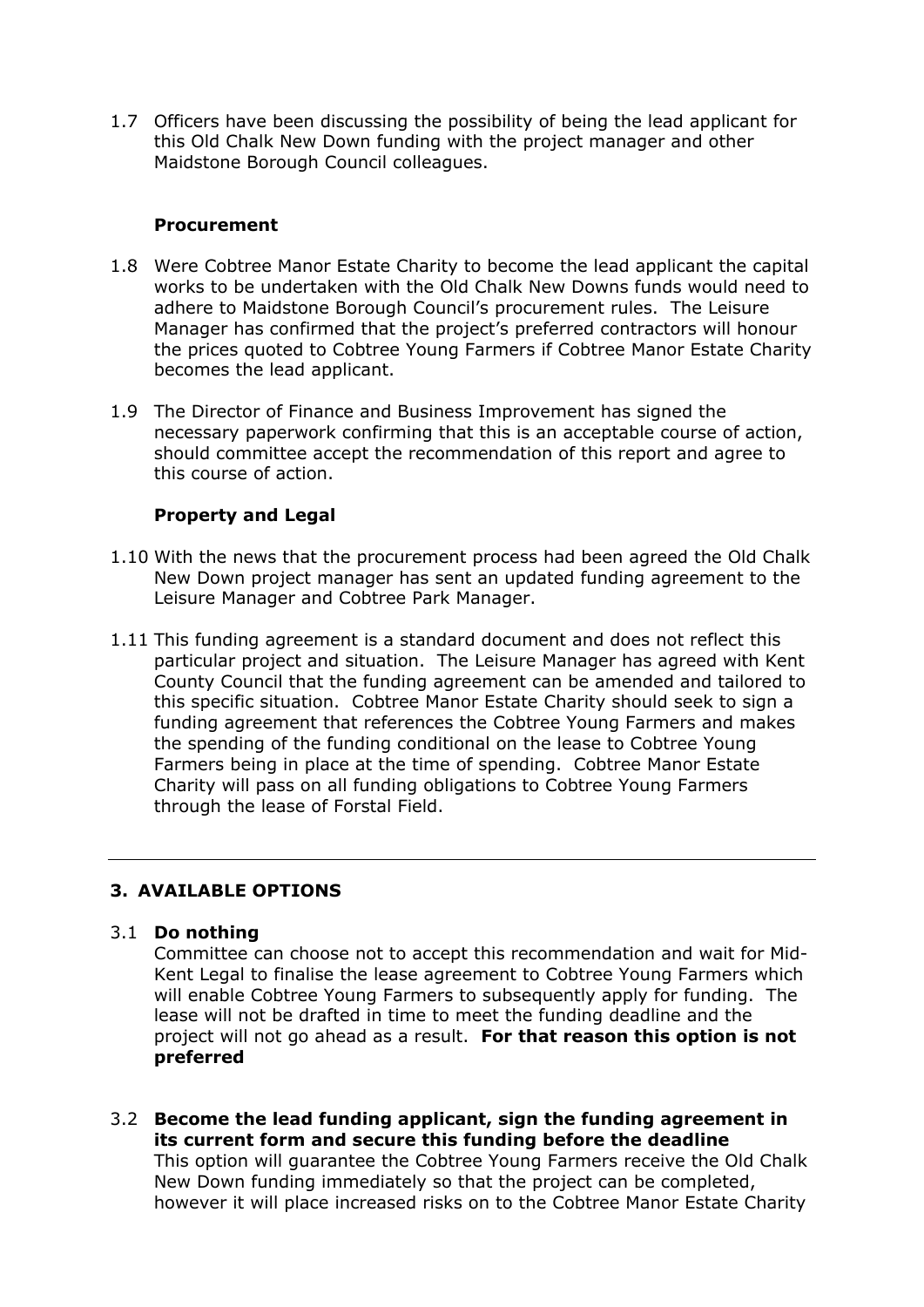1.7 Officers have been discussing the possibility of being the lead applicant for this Old Chalk New Down funding with the project manager and other Maidstone Borough Council colleagues.

#### **Procurement**

- 1.8 Were Cobtree Manor Estate Charity to become the lead applicant the capital works to be undertaken with the Old Chalk New Downs funds would need to adhere to Maidstone Borough Council's procurement rules. The Leisure Manager has confirmed that the project's preferred contractors will honour the prices quoted to Cobtree Young Farmers if Cobtree Manor Estate Charity becomes the lead applicant.
- 1.9 The Director of Finance and Business Improvement has signed the necessary paperwork confirming that this is an acceptable course of action, should committee accept the recommendation of this report and agree to this course of action.

## **Property and Legal**

- 1.10 With the news that the procurement process had been agreed the Old Chalk New Down project manager has sent an updated funding agreement to the Leisure Manager and Cobtree Park Manager.
- 1.11 This funding agreement is a standard document and does not reflect this particular project and situation. The Leisure Manager has agreed with Kent County Council that the funding agreement can be amended and tailored to this specific situation. Cobtree Manor Estate Charity should seek to sign a funding agreement that references the Cobtree Young Farmers and makes the spending of the funding conditional on the lease to Cobtree Young Farmers being in place at the time of spending. Cobtree Manor Estate Charity will pass on all funding obligations to Cobtree Young Farmers through the lease of Forstal Field.

## **3. AVAILABLE OPTIONS**

#### 3.1 **Do nothing**

Committee can choose not to accept this recommendation and wait for Mid-Kent Legal to finalise the lease agreement to Cobtree Young Farmers which will enable Cobtree Young Farmers to subsequently apply for funding. The lease will not be drafted in time to meet the funding deadline and the project will not go ahead as a result. **For that reason this option is not preferred**

3.2 **Become the lead funding applicant, sign the funding agreement in its current form and secure this funding before the deadline** This option will guarantee the Cobtree Young Farmers receive the Old Chalk New Down funding immediately so that the project can be completed, however it will place increased risks on to the Cobtree Manor Estate Charity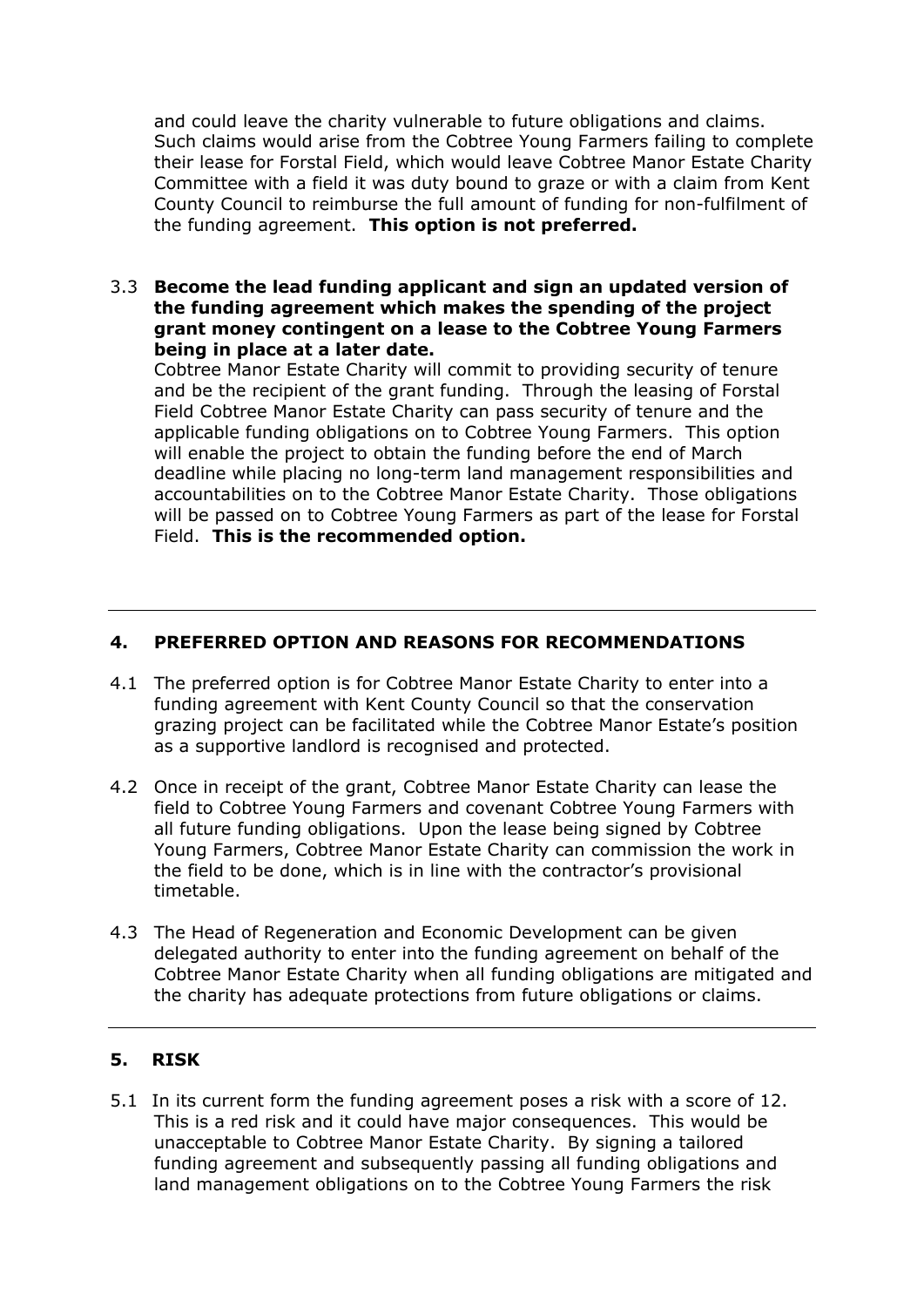and could leave the charity vulnerable to future obligations and claims. Such claims would arise from the Cobtree Young Farmers failing to complete their lease for Forstal Field, which would leave Cobtree Manor Estate Charity Committee with a field it was duty bound to graze or with a claim from Kent County Council to reimburse the full amount of funding for non-fulfilment of the funding agreement. **This option is not preferred.**

#### 3.3 **Become the lead funding applicant and sign an updated version of the funding agreement which makes the spending of the project grant money contingent on a lease to the Cobtree Young Farmers being in place at a later date.**

Cobtree Manor Estate Charity will commit to providing security of tenure and be the recipient of the grant funding. Through the leasing of Forstal Field Cobtree Manor Estate Charity can pass security of tenure and the applicable funding obligations on to Cobtree Young Farmers. This option will enable the project to obtain the funding before the end of March deadline while placing no long-term land management responsibilities and accountabilities on to the Cobtree Manor Estate Charity. Those obligations will be passed on to Cobtree Young Farmers as part of the lease for Forstal Field. **This is the recommended option.**

# **4. PREFERRED OPTION AND REASONS FOR RECOMMENDATIONS**

- 4.1 The preferred option is for Cobtree Manor Estate Charity to enter into a funding agreement with Kent County Council so that the conservation grazing project can be facilitated while the Cobtree Manor Estate's position as a supportive landlord is recognised and protected.
- 4.2 Once in receipt of the grant, Cobtree Manor Estate Charity can lease the field to Cobtree Young Farmers and covenant Cobtree Young Farmers with all future funding obligations. Upon the lease being signed by Cobtree Young Farmers, Cobtree Manor Estate Charity can commission the work in the field to be done, which is in line with the contractor's provisional timetable.
- 4.3 The Head of Regeneration and Economic Development can be given delegated authority to enter into the funding agreement on behalf of the Cobtree Manor Estate Charity when all funding obligations are mitigated and the charity has adequate protections from future obligations or claims.

## **5. RISK**

5.1 In its current form the funding agreement poses a risk with a score of 12. This is a red risk and it could have major consequences. This would be unacceptable to Cobtree Manor Estate Charity. By signing a tailored funding agreement and subsequently passing all funding obligations and land management obligations on to the Cobtree Young Farmers the risk